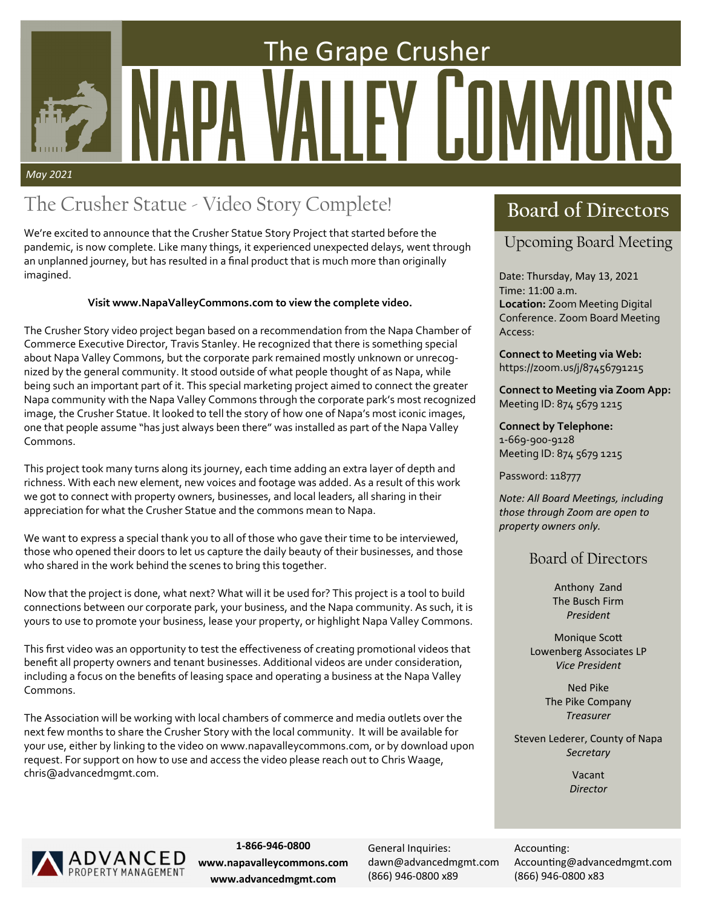# The Grape Crusher FY IT *May 2021*

## The Crusher Statue - Video Story Complete! **Board of Directors**

We're excited to announce that the Crusher Statue Story Project that started before the pandemic, is now complete. Like many things, it experienced unexpected delays, went through an unplanned journey, but has resulted in a final product that is much more than originally imagined.

### **Visit www.NapaValleyCommons.com to view the complete video.**

The Crusher Story video project began based on a recommendation from the Napa Chamber of Commerce Executive Director, Travis Stanley. He recognized that there is something special about Napa Valley Commons, but the corporate park remained mostly unknown or unrecognized by the general community. It stood outside of what people thought of as Napa, while being such an important part of it. This special marketing project aimed to connect the greater Napa community with the Napa Valley Commons through the corporate park's most recognized image, the Crusher Statue. It looked to tell the story of how one of Napa's most iconic images, one that people assume "has just always been there" was installed as part of the Napa Valley Commons.

This project took many turns along its journey, each time adding an extra layer of depth and richness. With each new element, new voices and footage was added. As a result of this work we got to connect with property owners, businesses, and local leaders, all sharing in their appreciation for what the Crusher Statue and the commons mean to Napa.

We want to express a special thank you to all of those who gave their time to be interviewed, those who opened their doors to let us capture the daily beauty of their businesses, and those who shared in the work behind the scenes to bring this together.

Now that the project is done, what next? What will it be used for? This project is a tool to build connections between our corporate park, your business, and the Napa community. As such, it is yours to use to promote your business, lease your property, or highlight Napa Valley Commons.

This first video was an opportunity to test the effectiveness of creating promotional videos that benefit all property owners and tenant businesses. Additional videos are under consideration, including a focus on the benefits of leasing space and operating a business at the Napa Valley Commons.

The Association will be working with local chambers of commerce and media outlets over the next few months to share the Crusher Story with the local community. It will be available for your use, either by linking to the video on www.napavalleycommons.com, or by download upon request. For support on how to use and access the video please reach out to Chris Waage, chris@advancedmgmt.com.

### Upcoming Board Meeting

Date: Thursday, May 13, 2021 Time: 11:00 a.m. **Location:** Zoom Meeting Digital Conference. Zoom Board Meeting Access:

**Connect to Meeting via Web:**  https://zoom.us/j/87456791215

**Connect to Meeting via Zoom App:**  Meeting ID: 874 5679 1215

**Connect by Telephone:**  1‐669‐900‐9128 Meeting ID: 874 5679 1215

Password: 118777

*Note: All Board MeeƟngs, including those through Zoom are open to property owners only.* 

### Board of Directors

Anthony Zand The Busch Firm *President* 

**Monique Scott** Lowenberg Associates LP *Vice President*

> Ned Pike The Pike Company *Treasurer*

Steven Lederer, County of Napa *Secretary* 

> Vacant *Director*



**1‐866‐946‐0800 www.napavalleycommons.com www.advancedmgmt.com**

General Inquiries: dawn@advancedmgmt.com (866) 946‐0800 x89

Accounting: Accounting@advancedmgmt.com (866) 946‐0800 x83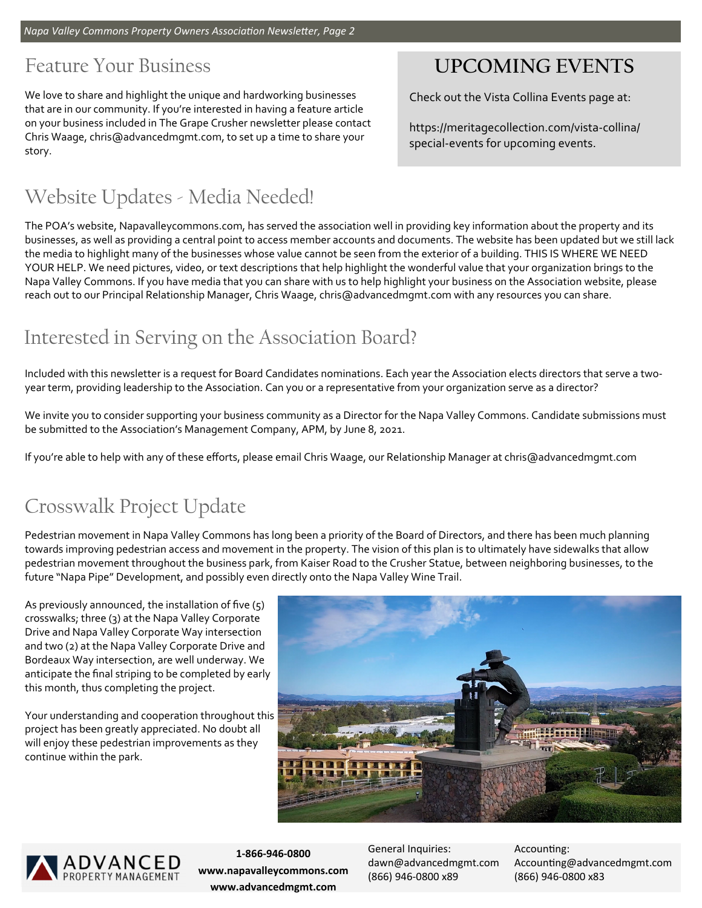### Feature Your Business

We love to share and highlight the unique and hardworking businesses that are in our community. If you're interested in having a feature article on your business included in The Grape Crusher newsletter please contact Chris Waage, chris@advancedmgmt.com, to set up a time to share your story.

## Website Updates - Media Needed!

### **UPCOMING EVENTS**

Check out the Vista Collina Events page at:

https://meritagecollection.com/vista‐collina/ special‐events for upcoming events.

The POA's website, Napavalleycommons.com, has served the association well in providing key information about the property and its businesses, as well as providing a central point to access member accounts and documents. The website has been updated but we still lack the media to highlight many of the businesses whose value cannot be seen from the exterior of a building. THIS IS WHERE WE NEED YOUR HELP. We need pictures, video, or text descriptions that help highlight the wonderful value that your organization brings to the Napa Valley Commons. If you have media that you can share with us to help highlight your business on the Association website, please reach out to our Principal Relationship Manager, Chris Waage, chris@advancedmgmt.com with any resources you can share.

### Interested in Serving on the Association Board?

Included with this newsletter is a request for Board Candidates nominations. Each year the Association elects directors that serve a twoyear term, providing leadership to the Association. Can you or a representative from your organization serve as a director?

We invite you to consider supporting your business community as a Director for the Napa Valley Commons. Candidate submissions must be submitted to the Association's Management Company, APM, by June 8, 2021.

If you're able to help with any of these efforts, please email Chris Waage, our Relationship Manager at chris@advancedmgmt.com

### Crosswalk Project Update

Pedestrian movement in Napa Valley Commons has long been a priority of the Board of Directors, and there has been much planning towards improving pedestrian access and movement in the property. The vision of this plan is to ultimately have sidewalks that allow pedestrian movement throughout the business park, from Kaiser Road to the Crusher Statue, between neighboring businesses, to the future "Napa Pipe" Development, and possibly even directly onto the Napa Valley Wine Trail.

As previously announced, the installation of five (5) crosswalks; three (3) at the Napa Valley Corporate Drive and Napa Valley Corporate Way intersection and two (2) at the Napa Valley Corporate Drive and Bordeaux Way intersection, are well underway. We anticipate the final striping to be completed by early this month, thus completing the project.

Your understanding and cooperation throughout this project has been greatly appreciated. No doubt all will enjoy these pedestrian improvements as they continue within the park.





**1‐866‐946‐0800 www.napavalleycommons.com www.advancedmgmt.com**

General Inquiries: dawn@advancedmgmt.com (866) 946‐0800 x89

Accounting: Accounting@advancedmgmt.com (866) 946‐0800 x83